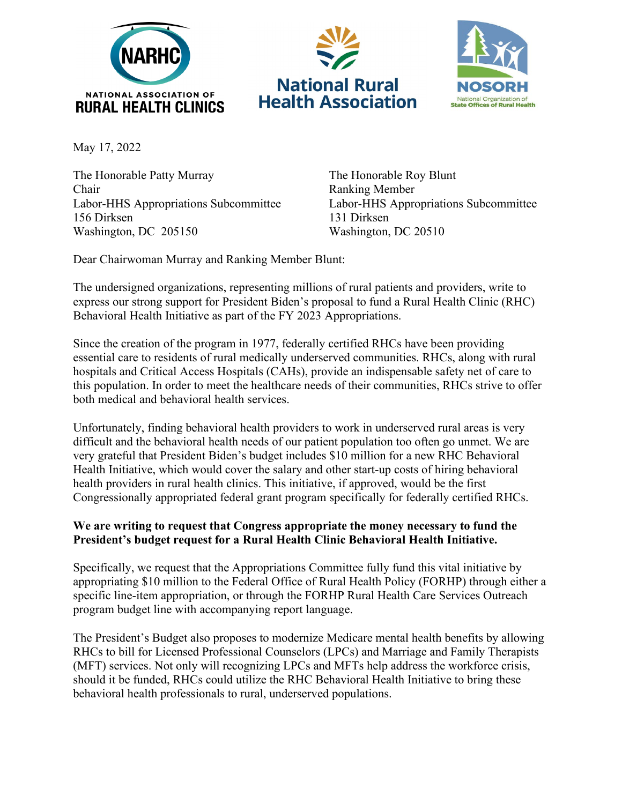





May 17, 2022

The Honorable Patty Murray The Honorable Roy Blunt Chair Ranking Member Labor-HHS Appropriations Subcommittee Labor-HHS Appropriations Subcommittee 156 Dirksen 131 Dirksen Washington, DC 205150 Washington, DC 20510

Dear Chairwoman Murray and Ranking Member Blunt:

The undersigned organizations, representing millions of rural patients and providers, write to express our strong support for President Biden's proposal to fund a Rural Health Clinic (RHC) Behavioral Health Initiative as part of the FY 2023 Appropriations.

Since the creation of the program in 1977, federally certified RHCs have been providing essential care to residents of rural medically underserved communities. RHCs, along with rural hospitals and Critical Access Hospitals (CAHs), provide an indispensable safety net of care to this population. In order to meet the healthcare needs of their communities, RHCs strive to offer both medical and behavioral health services.

Unfortunately, finding behavioral health providers to work in underserved rural areas is very difficult and the behavioral health needs of our patient population too often go unmet. We are very grateful that President Biden's budget includes \$10 million for a new RHC Behavioral Health Initiative, which would cover the salary and other start-up costs of hiring behavioral health providers in rural health clinics. This initiative, if approved, would be the first Congressionally appropriated federal grant program specifically for federally certified RHCs.

## **We are writing to request that Congress appropriate the money necessary to fund the President's budget request for a Rural Health Clinic Behavioral Health Initiative.**

Specifically, we request that the Appropriations Committee fully fund this vital initiative by appropriating \$10 million to the Federal Office of Rural Health Policy (FORHP) through either a specific line-item appropriation, or through the FORHP Rural Health Care Services Outreach program budget line with accompanying report language.

The President's Budget also proposes to modernize Medicare mental health benefits by allowing RHCs to bill for Licensed Professional Counselors (LPCs) and Marriage and Family Therapists (MFT) services. Not only will recognizing LPCs and MFTs help address the workforce crisis, should it be funded, RHCs could utilize the RHC Behavioral Health Initiative to bring these behavioral health professionals to rural, underserved populations.